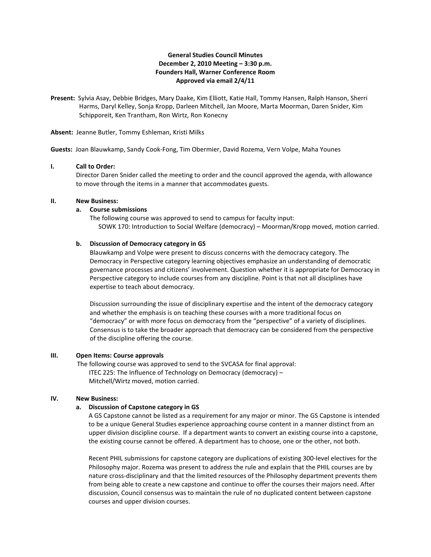# **General Studies Council Minutes December 2, 2010 Meeting – 3:30 p.m. Founders Hall, Warner Conference Room Approved via email 2/4/11**

**Present:** Sylvia Asay, Debbie Bridges, Mary Daake, Kim Elliott, Katie Hall, Tommy Hansen, Ralph Hanson, Sherri Harms, Daryl Kelley, Sonja Kropp, Darleen Mitchell, Jan Moore, Marta Moorman, Daren Snider, Kim Schipporeit, Ken Trantham, Ron Wirtz, Ron Konecny

**Absent:** Jeanne Butler, Tommy Eshleman, Kristi Milks

**Guests:** Joan Blauwkamp, Sandy Cook-Fong, Tim Obermier, David Rozema, Vern Volpe, Maha Younes

#### **I. Call to Order:**

Director Daren Snider called the meeting to order and the council approved the agenda, with allowance to move through the items in a manner that accommodates guests.

### **II. New Business:**

#### **a. Course submissions**

The following course was approved to send to campus for faculty input: SOWK 170: Introduction to Social Welfare (democracy) – Moorman/Kropp moved, motion carried.

# **b. Discussion of Democracy category in GS**

Blauwkamp and Volpe were present to discuss concerns with the democracy category. The Democracy in Perspective category learning objectives emphasize an understanding of democratic governance processes and citizens' involvement. Question whether it is appropriate for Democracy in Perspective category to include courses from any discipline. Point is that not all disciplines have expertise to teach about democracy.

Discussion surrounding the issue of disciplinary expertise and the intent of the democracy category and whether the emphasis is on teaching these courses with a more traditional focus on "democracy" or with more focus on democracy from the "perspective" of a variety of disciplines. Consensus is to take the broader approach that democracy can be considered from the perspective of the discipline offering the course.

### **III. Open Items: Course approvals**

 The following course was approved to send to the SVCASA for final approval: ITEC 225: The Influence of Technology on Democracy (democracy) – Mitchell/Wirtz moved, motion carried.

## **IV. New Business:**

### **a. Discussion of Capstone category in GS**

A GS Capstone cannot be listed as a requirement for any major or minor. The GS Capstone is intended to be a unique General Studies experience approaching course content in a manner distinct from an upper division discipline course. If a department wants to convert an existing course into a capstone, the existing course cannot be offered. A department has to choose, one or the other, not both.

Recent PHIL submissions for capstone category are duplications of existing 300-level electives for the Philosophy major. Rozema was present to address the rule and explain that the PHIL courses are by nature cross-disciplinary and that the limited resources of the Philosophy department prevents them from being able to create a new capstone and continue to offer the courses their majors need. After discussion, Council consensus was to maintain the rule of no duplicated content between capstone courses and upper division courses.